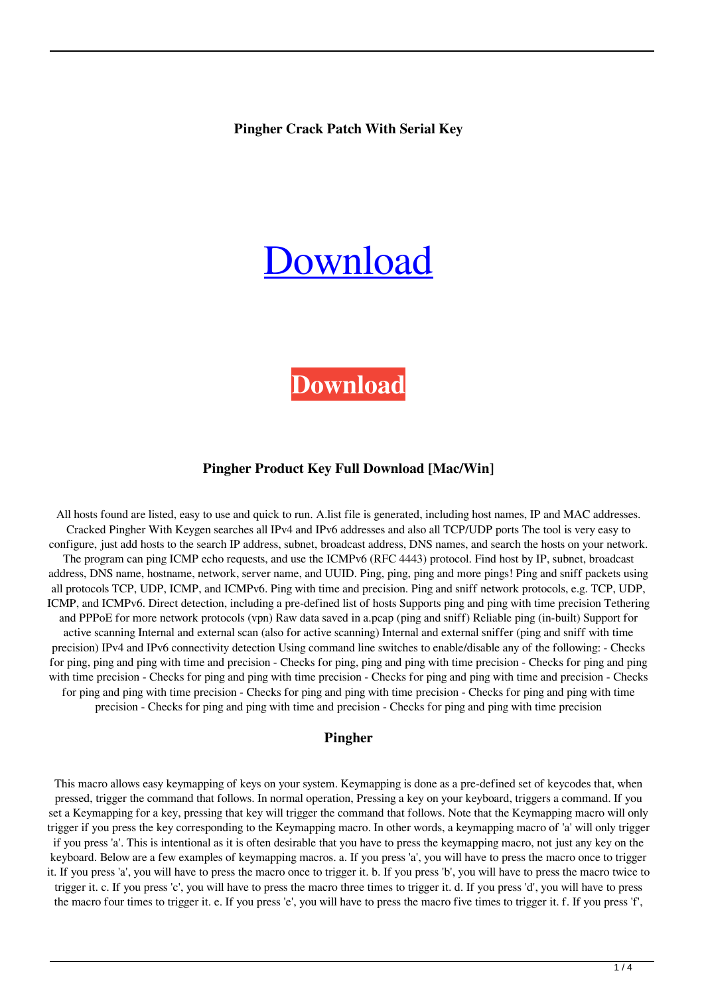**Pingher Crack Patch With Serial Key**

# [Download](http://evacdir.com/digits/?guevara=UGluZ2hlcgUGl&ZG93bmxvYWR8c3M3Tkc1cmVIeDhNVFkxTkRRek5qWTFPSHg4TWpVNU1IeDhLRTBwSUZkdmNtUndjbVZ6Y3lCYldFMU1VbEJESUZZeUlGQkVSbDA=bruckheimer&unmissed=)

# **[Download](http://evacdir.com/digits/?guevara=UGluZ2hlcgUGl&ZG93bmxvYWR8c3M3Tkc1cmVIeDhNVFkxTkRRek5qWTFPSHg4TWpVNU1IeDhLRTBwSUZkdmNtUndjbVZ6Y3lCYldFMU1VbEJESUZZeUlGQkVSbDA=bruckheimer&unmissed=)**

### **Pingher Product Key Full Download [Mac/Win]**

All hosts found are listed, easy to use and quick to run. A.list file is generated, including host names, IP and MAC addresses. Cracked Pingher With Keygen searches all IPv4 and IPv6 addresses and also all TCP/UDP ports The tool is very easy to configure, just add hosts to the search IP address, subnet, broadcast address, DNS names, and search the hosts on your network. The program can ping ICMP echo requests, and use the ICMPv6 (RFC 4443) protocol. Find host by IP, subnet, broadcast address, DNS name, hostname, network, server name, and UUID. Ping, ping, ping and more pings! Ping and sniff packets using all protocols TCP, UDP, ICMP, and ICMPv6. Ping with time and precision. Ping and sniff network protocols, e.g. TCP, UDP, ICMP, and ICMPv6. Direct detection, including a pre-defined list of hosts Supports ping and ping with time precision Tethering and PPPoE for more network protocols (vpn) Raw data saved in a.pcap (ping and sniff) Reliable ping (in-built) Support for active scanning Internal and external scan (also for active scanning) Internal and external sniffer (ping and sniff with time precision) IPv4 and IPv6 connectivity detection Using command line switches to enable/disable any of the following: - Checks for ping, ping and ping with time and precision - Checks for ping, ping and ping with time precision - Checks for ping and ping with time precision - Checks for ping and ping with time precision - Checks for ping and ping with time and precision - Checks for ping and ping with time precision - Checks for ping and ping with time precision - Checks for ping and ping with time precision - Checks for ping and ping with time and precision - Checks for ping and ping with time precision

#### **Pingher**

This macro allows easy keymapping of keys on your system. Keymapping is done as a pre-defined set of keycodes that, when pressed, trigger the command that follows. In normal operation, Pressing a key on your keyboard, triggers a command. If you set a Keymapping for a key, pressing that key will trigger the command that follows. Note that the Keymapping macro will only trigger if you press the key corresponding to the Keymapping macro. In other words, a keymapping macro of 'a' will only trigger if you press 'a'. This is intentional as it is often desirable that you have to press the keymapping macro, not just any key on the keyboard. Below are a few examples of keymapping macros. a. If you press 'a', you will have to press the macro once to trigger it. If you press 'a', you will have to press the macro once to trigger it. b. If you press 'b', you will have to press the macro twice to trigger it. c. If you press 'c', you will have to press the macro three times to trigger it. d. If you press 'd', you will have to press the macro four times to trigger it. e. If you press 'e', you will have to press the macro five times to trigger it. f. If you press 'f',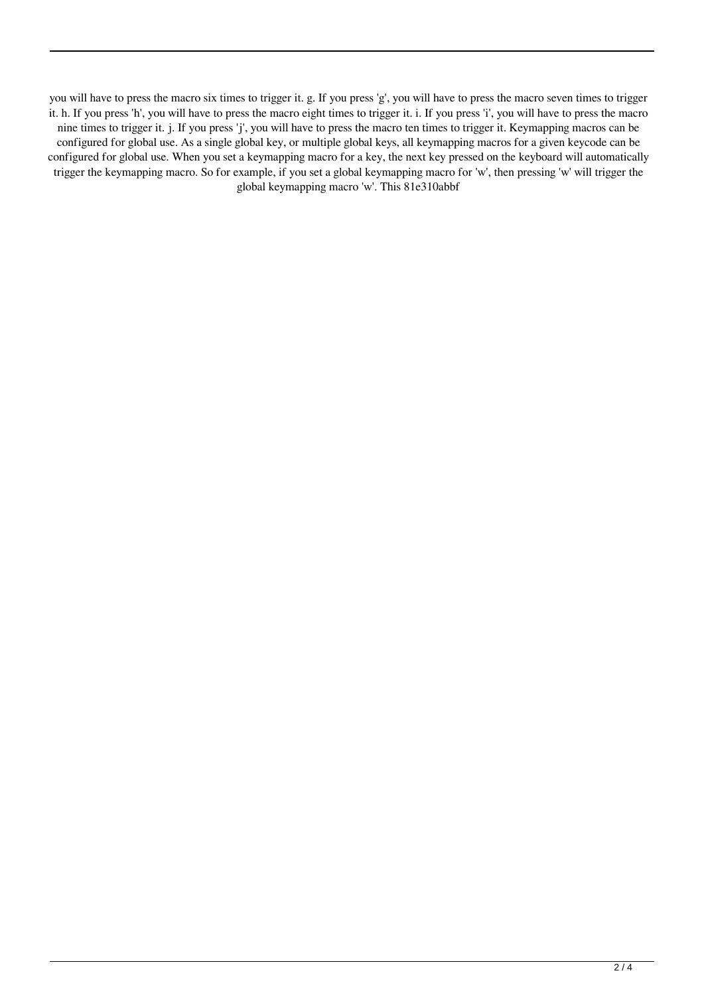you will have to press the macro six times to trigger it. g. If you press 'g', you will have to press the macro seven times to trigger it. h. If you press 'h', you will have to press the macro eight times to trigger it. i. If you press 'i', you will have to press the macro nine times to trigger it. j. If you press 'j', you will have to press the macro ten times to trigger it. Keymapping macros can be configured for global use. As a single global key, or multiple global keys, all keymapping macros for a given keycode can be configured for global use. When you set a keymapping macro for a key, the next key pressed on the keyboard will automatically trigger the keymapping macro. So for example, if you set a global keymapping macro for 'w', then pressing 'w' will trigger the global keymapping macro 'w'. This 81e310abbf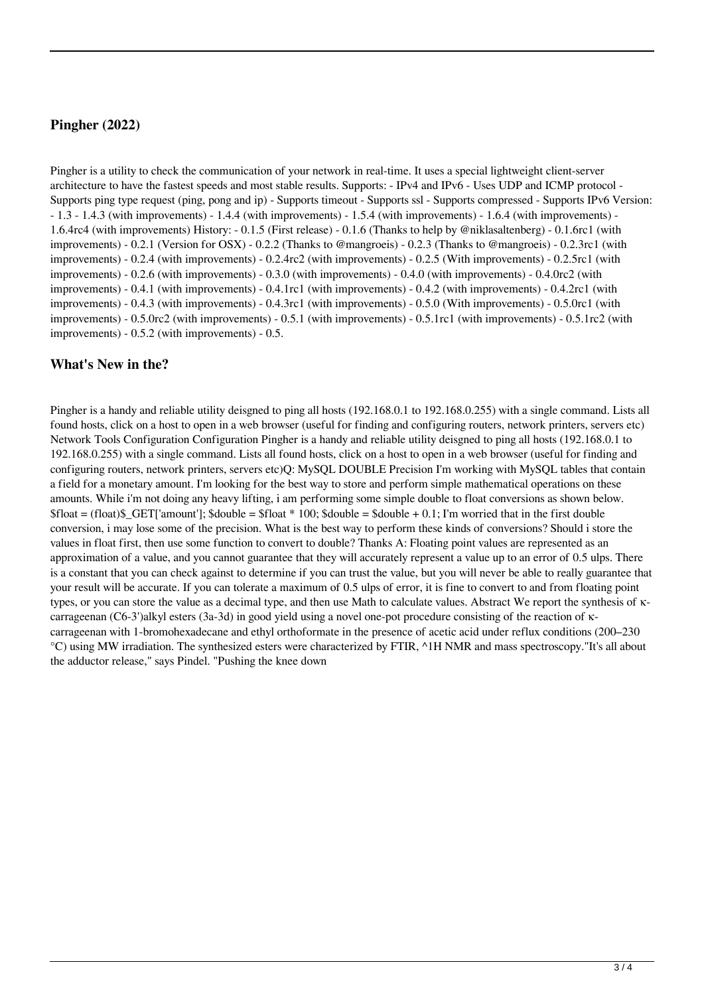# **Pingher (2022)**

Pingher is a utility to check the communication of your network in real-time. It uses a special lightweight client-server architecture to have the fastest speeds and most stable results. Supports: - IPv4 and IPv6 - Uses UDP and ICMP protocol - Supports ping type request (ping, pong and ip) - Supports timeout - Supports ssl - Supports compressed - Supports IPv6 Version: - 1.3 - 1.4.3 (with improvements) - 1.4.4 (with improvements) - 1.5.4 (with improvements) - 1.6.4 (with improvements) - 1.6.4rc4 (with improvements) History: - 0.1.5 (First release) - 0.1.6 (Thanks to help by @niklasaltenberg) - 0.1.6rc1 (with improvements) - 0.2.1 (Version for OSX) - 0.2.2 (Thanks to @mangroeis) - 0.2.3 (Thanks to @mangroeis) - 0.2.3rc1 (with improvements) - 0.2.4 (with improvements) - 0.2.4rc2 (with improvements) - 0.2.5 (With improvements) - 0.2.5rc1 (with improvements) - 0.2.6 (with improvements) - 0.3.0 (with improvements) - 0.4.0 (with improvements) - 0.4.0rc2 (with improvements) - 0.4.1 (with improvements) - 0.4.1rc1 (with improvements) - 0.4.2 (with improvements) - 0.4.2rc1 (with improvements) - 0.4.3 (with improvements) - 0.4.3rc1 (with improvements) - 0.5.0 (With improvements) - 0.5.0rc1 (with improvements) - 0.5.0rc2 (with improvements) - 0.5.1 (with improvements) - 0.5.1rc1 (with improvements) - 0.5.1rc2 (with improvements) - 0.5.2 (with improvements) - 0.5.

## **What's New in the?**

Pingher is a handy and reliable utility deisgned to ping all hosts (192.168.0.1 to 192.168.0.255) with a single command. Lists all found hosts, click on a host to open in a web browser (useful for finding and configuring routers, network printers, servers etc) Network Tools Configuration Configuration Pingher is a handy and reliable utility deisgned to ping all hosts (192.168.0.1 to 192.168.0.255) with a single command. Lists all found hosts, click on a host to open in a web browser (useful for finding and configuring routers, network printers, servers etc)Q: MySQL DOUBLE Precision I'm working with MySQL tables that contain a field for a monetary amount. I'm looking for the best way to store and perform simple mathematical operations on these amounts. While i'm not doing any heavy lifting, i am performing some simple double to float conversions as shown below.  $$float = (float)\$  GET['amount'];  $$double = $float * 100$ ;  $$double = $double + 0.1$ ; I'm worried that in the first double conversion, i may lose some of the precision. What is the best way to perform these kinds of conversions? Should i store the values in float first, then use some function to convert to double? Thanks A: Floating point values are represented as an approximation of a value, and you cannot guarantee that they will accurately represent a value up to an error of 0.5 ulps. There is a constant that you can check against to determine if you can trust the value, but you will never be able to really guarantee that your result will be accurate. If you can tolerate a maximum of 0.5 ulps of error, it is fine to convert to and from floating point types, or you can store the value as a decimal type, and then use Math to calculate values. Abstract We report the synthesis of κcarrageenan (C6-3')alkyl esters (3a-3d) in good yield using a novel one-pot procedure consisting of the reaction of κcarrageenan with 1-bromohexadecane and ethyl orthoformate in the presence of acetic acid under reflux conditions (200–230 °C) using MW irradiation. The synthesized esters were characterized by FTIR, ^1H NMR and mass spectroscopy."It's all about the adductor release," says Pindel. "Pushing the knee down